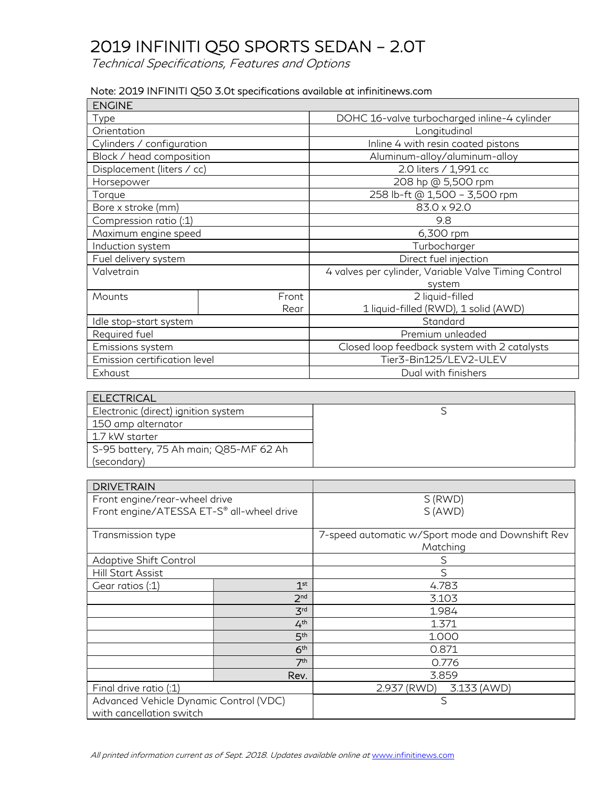Technical Specifications, Features and Options

#### Note: 2019 INFINITI Q50 3.0t specifications available at infinitinews.com

| <b>ENGINE</b>                |       |                                                      |
|------------------------------|-------|------------------------------------------------------|
| Type                         |       | DOHC 16-valve turbocharged inline-4 cylinder         |
| Orientation                  |       | Longitudinal                                         |
| Cylinders / configuration    |       | Inline 4 with resin coated pistons                   |
| Block / head composition     |       | Aluminum-alloy/aluminum-alloy                        |
| Displacement (liters / cc)   |       | 2.0 liters / 1,991 cc                                |
| Horsepower                   |       | 208 hp @ 5,500 rpm                                   |
| Torque                       |       | 258 lb-ft @ 1,500 - 3,500 rpm                        |
| Bore x stroke (mm)           |       | 83.0 x 92.0                                          |
| Compression ratio (:1)       |       | 9.8                                                  |
| Maximum engine speed         |       | 6,300 rpm                                            |
| Induction system             |       | Turbocharger                                         |
| Fuel delivery system         |       | Direct fuel injection                                |
| Valvetrain                   |       | 4 valves per cylinder, Variable Valve Timing Control |
|                              |       | system                                               |
| Mounts                       | Front | 2 liquid-filled                                      |
|                              | Rear  | 1 liquid-filled (RWD), 1 solid (AWD)                 |
| Idle stop-start system       |       | Standard                                             |
| Required fuel                |       | Premium unleaded                                     |
| Emissions system             |       | Closed loop feedback system with 2 catalysts         |
| Emission certification level |       | Tier3-Bin125/LEV2-ULEV                               |
| Exhaust                      |       | Dual with finishers                                  |

| <b>ELECTRICAL</b>                      |  |
|----------------------------------------|--|
| Electronic (direct) ignition system    |  |
| 150 amp alternator                     |  |
| 1.7 kW starter                         |  |
| S-95 battery, 75 Ah main; Q85-MF 62 Ah |  |
| (secondary)                            |  |

| <b>DRIVETRAIN</b>                         |                 |                                                  |
|-------------------------------------------|-----------------|--------------------------------------------------|
| Front engine/rear-wheel drive             |                 | S (RWD)                                          |
| Front engine/ATESSA ET-S® all-wheel drive |                 | S(AND)                                           |
|                                           |                 |                                                  |
| Transmission type                         |                 | 7-speed automatic w/Sport mode and Downshift Rev |
|                                           |                 | Matching                                         |
| Adaptive Shift Control                    |                 | S                                                |
| Hill Start Assist                         |                 | S                                                |
| Gear ratios (:1)                          | 1 <sup>st</sup> | 4.783                                            |
|                                           | 2 <sub>nd</sub> | 3.103                                            |
|                                           | 3 <sup>rd</sup> | 1.984                                            |
|                                           | 4 <sup>th</sup> | 1.371                                            |
|                                           | 5 <sup>th</sup> | 1.000                                            |
|                                           | 6 <sup>th</sup> | 0.871                                            |
|                                           | 7 <sup>th</sup> | 0.776                                            |
|                                           | Rev.            | 3.859                                            |
| Final drive ratio (:1)                    |                 | 2.937 (RWD)<br>3.133 (AWD)                       |
| Advanced Vehicle Dynamic Control (VDC)    |                 | S                                                |
| with cancellation switch                  |                 |                                                  |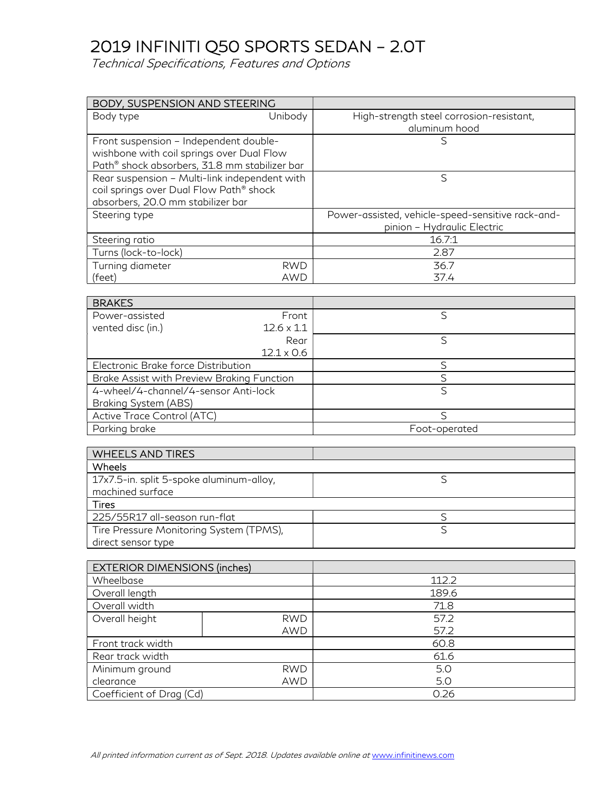Technical Specifications, Features and Options

| BODY, SUSPENSION AND STEERING                 |                          |                                                   |
|-----------------------------------------------|--------------------------|---------------------------------------------------|
| Body type                                     | Unibody                  | High-strength steel corrosion-resistant,          |
|                                               |                          | aluminum hood                                     |
| Front suspension - Independent double-        |                          | S                                                 |
| wishbone with coil springs over Dual Flow     |                          |                                                   |
| Path® shock absorbers, 31.8 mm stabilizer bar |                          |                                                   |
| Rear suspension - Multi-link independent with |                          | S                                                 |
| coil springs over Dual Flow Path® shock       |                          |                                                   |
| absorbers, 20.0 mm stabilizer bar             |                          |                                                   |
| Steering type                                 |                          | Power-assisted, vehicle-speed-sensitive rack-and- |
|                                               |                          | pinion - Hydraulic Electric                       |
| Steering ratio                                |                          | 16.7:1                                            |
| Turns (lock-to-lock)                          |                          | 2.87                                              |
| Turning diameter                              | <b>RWD</b>               | 36.7                                              |
| (feet)                                        | <b>AWD</b>               | 37.4                                              |
| <b>BRAKES</b>                                 |                          |                                                   |
| Power-assisted                                | Front                    | S                                                 |
| vented disc (in.)                             | $12.6 \times 1.1$        |                                                   |
|                                               | Rear                     | S                                                 |
|                                               | $12.1 \times 0.6$        |                                                   |
| Electronic Brake force Distribution           |                          | S                                                 |
| Brake Assist with Preview Braking Function    |                          | $\mathsf S$                                       |
| 4-wheel/4-channel/4-sensor Anti-lock          |                          | $\overline{\mathsf{S}}$                           |
| Braking System (ABS)                          |                          |                                                   |
| Active Trace Control (ATC)                    |                          | S                                                 |
| Parking brake                                 |                          | Foot-operated                                     |
|                                               |                          |                                                   |
| <b>WHEELS AND TIRES</b>                       |                          |                                                   |
| Wheels                                        |                          |                                                   |
| 17x7.5-in. split 5-spoke aluminum-alloy,      |                          | S                                                 |
| machined surface                              |                          |                                                   |
| <b>Tires</b>                                  |                          |                                                   |
| 225/55R17 all-season run-flat                 |                          | $\overline{\mathsf{S}}$                           |
| Tire Pressure Monitoring System (TPMS),       |                          | $\overline{\mathsf{S}}$                           |
| direct sensor type                            |                          |                                                   |
|                                               |                          |                                                   |
| <b>EXTERIOR DIMENSIONS (inches)</b>           |                          |                                                   |
| Wheelbase                                     |                          | 112.2                                             |
| Overall length                                |                          | 189.6                                             |
| Overall width                                 |                          | 71.8                                              |
| Overall height                                | <b>RWD</b>               | 57.2                                              |
|                                               | <b>AWD</b>               | 57.2<br>60.8                                      |
| Front track width                             |                          |                                                   |
| Rear track width                              |                          | 61.6<br>5.0                                       |
| Minimum ground<br>clearance                   | <b>RWD</b><br><b>AWD</b> | 5.0                                               |
|                                               |                          | 0.26                                              |
| Coefficient of Drag (Cd)                      |                          |                                                   |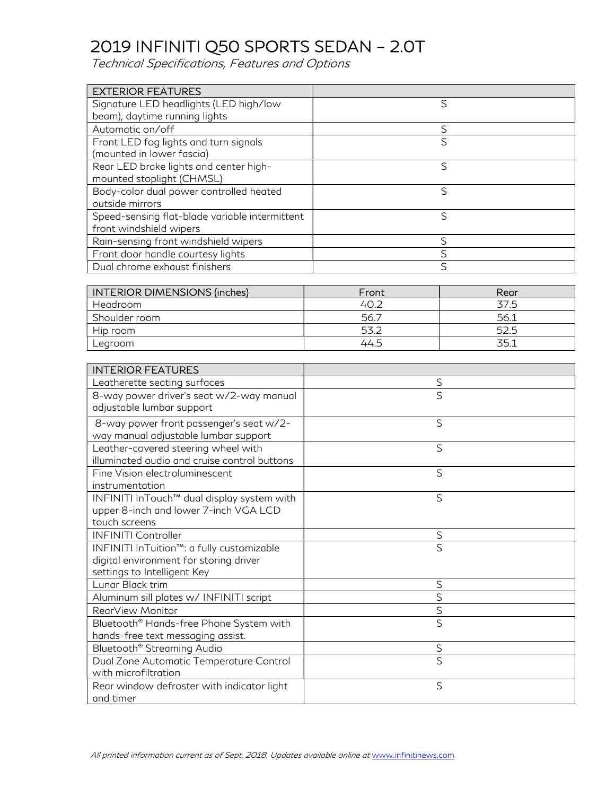Technical Specifications, Features and Options

| <b>EXTERIOR FEATURES</b>                       |   |
|------------------------------------------------|---|
| Signature LED headlights (LED high/low         | S |
| beam), daytime running lights                  |   |
| Automatic on/off                               | S |
| Front LED fog lights and turn signals          | S |
| (mounted in lower fascia)                      |   |
| Rear LED brake lights and center high-         | S |
| mounted stoplight (CHMSL)                      |   |
| Body-color dual power controlled heated        | S |
| outside mirrors                                |   |
| Speed-sensing flat-blade variable intermittent | S |
| front windshield wipers                        |   |
| Rain-sensing front windshield wipers           | S |
| Front door handle courtesy lights              | ς |
| Dual chrome exhaust finishers                  | S |

| <b>INTERIOR DIMENSIONS (inches)</b> | Front | Rear |
|-------------------------------------|-------|------|
| Headroom                            | 40.2  | 37.5 |
| Shoulder room                       | 56.7  | 56.1 |
| Hip room                            | 53.2  | 52.5 |
| Legroom                             | 44.5  | 35.1 |

| <b>INTERIOR FEATURES</b>                                                                                           |                         |
|--------------------------------------------------------------------------------------------------------------------|-------------------------|
| Leatherette seating surfaces                                                                                       | S                       |
| 8-way power driver's seat w/2-way manual<br>adjustable lumbar support                                              | S                       |
| 8-way power front passenger's seat w/2-<br>way manual adjustable lumbar support                                    | S                       |
| Leather-covered steering wheel with<br>illuminated audio and cruise control buttons                                | S                       |
| Fine Vision electroluminescent<br>instrumentation                                                                  | S                       |
| INFINITI InTouch™ dual display system with<br>upper 8-inch and lower 7-inch VGA LCD<br>touch screens               | S                       |
| <b>INFINITI Controller</b>                                                                                         | S                       |
| INFINITI InTuition™: a fully customizable<br>digital environment for storing driver<br>settings to Intelligent Key | S                       |
| Lunar Black trim                                                                                                   | $\mathsf S$             |
| Aluminum sill plates w/ INFINITI script                                                                            | S                       |
| RearView Monitor                                                                                                   | $\overline{S}$          |
| Bluetooth® Hands-free Phone System with<br>hands-free text messaging assist.                                       | $\overline{\mathsf{S}}$ |
| Bluetooth <sup>®</sup> Streaming Audio                                                                             | S                       |
| Dual Zone Automatic Temperature Control<br>with microfiltration                                                    | S                       |
| Rear window defroster with indicator light<br>and timer                                                            | S                       |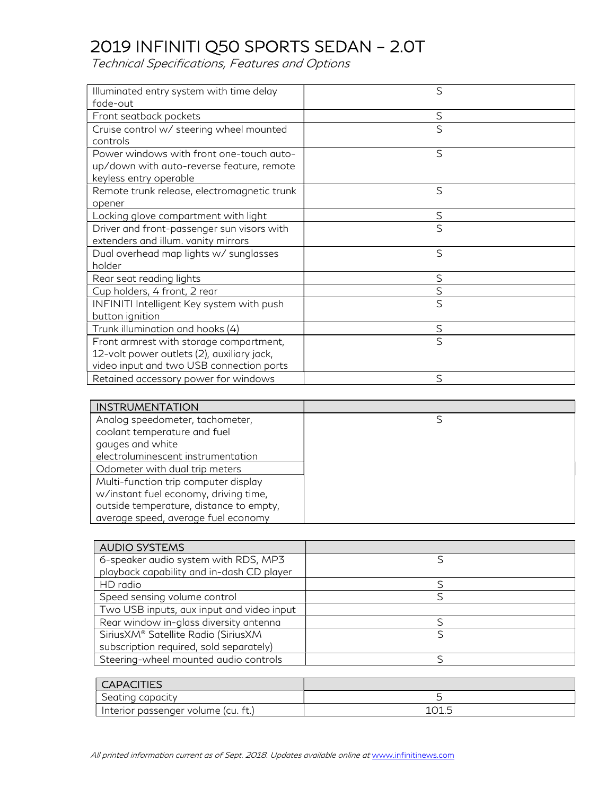Technical Specifications, Features and Options

| Illuminated entry system with time delay    | S            |
|---------------------------------------------|--------------|
| fade-out                                    |              |
| Front seatback pockets                      | S            |
| Cruise control w/ steering wheel mounted    | S            |
| controls                                    |              |
| Power windows with front one-touch auto-    | S            |
| up/down with auto-reverse feature, remote   |              |
| keyless entry operable                      |              |
| Remote trunk release, electromagnetic trunk | S            |
| opener                                      |              |
| Locking glove compartment with light        | $\mathsf S$  |
| Driver and front-passenger sun visors with  | S            |
| extenders and illum. vanity mirrors         |              |
| Dual overhead map lights w/ sunglasses      | $\mathsf{S}$ |
| holder                                      |              |
| Rear seat reading lights                    | S            |
| Cup holders, 4 front, 2 rear                | $\mathsf S$  |
| INFINITI Intelligent Key system with push   | S            |
| button ignition                             |              |
| Trunk illumination and hooks (4)            | S            |
| Front armrest with storage compartment,     | S            |
| 12-volt power outlets (2), auxiliary jack,  |              |
| video input and two USB connection ports    |              |
| Retained accessory power for windows        | S            |

| <b>INSTRUMENTATION</b>                  |  |
|-----------------------------------------|--|
| Analog speedometer, tachometer,         |  |
| coolant temperature and fuel            |  |
| gauges and white                        |  |
| electroluminescent instrumentation      |  |
| Odometer with dual trip meters          |  |
| Multi-function trip computer display    |  |
| w/instant fuel economy, driving time,   |  |
| outside temperature, distance to empty, |  |
| average speed, average fuel economy     |  |

| <b>AUDIO SYSTEMS</b>                      |  |
|-------------------------------------------|--|
| 6-speaker audio system with RDS, MP3      |  |
| playback capability and in-dash CD player |  |
| HD radio                                  |  |
| Speed sensing volume control              |  |
| Two USB inputs, aux input and video input |  |
| Rear window in-glass diversity antenna    |  |
| SiriusXM® Satellite Radio (SiriusXM       |  |
| subscription required, sold separately)   |  |
| Steering-wheel mounted audio controls     |  |

| <b>CAPACITIES</b>                     |                |
|---------------------------------------|----------------|
| Seating capacity                      |                |
| I Interior passenger volume (cu. ft.) | 1 N 1<br>101.J |